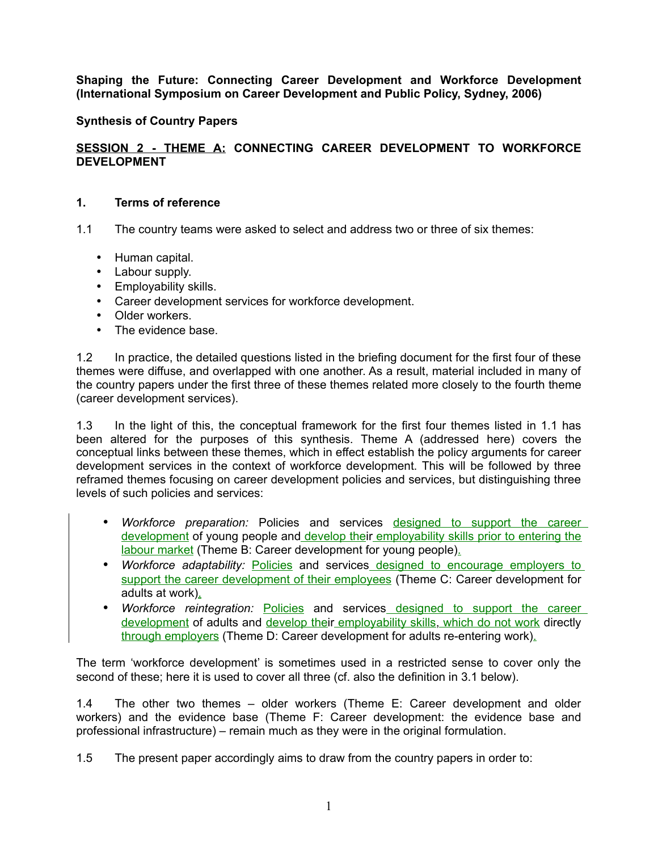## **Synthesis of Country Papers**

## **SESSION 2 - THEME A: CONNECTING CAREER DEVELOPMENT TO WORKFORCE DEVELOPMENT**

#### **1. Terms of reference**

- 1.1 The country teams were asked to select and address two or three of six themes:
	- Human capital.
	- Labour supply.
	- Employability skills.
	- Career development services for workforce development.
	- Older workers.
	- The evidence base.

1.2 In practice, the detailed questions listed in the briefing document for the first four of these themes were diffuse, and overlapped with one another. As a result, material included in many of the country papers under the first three of these themes related more closely to the fourth theme (career development services).

1.3 In the light of this, the conceptual framework for the first four themes listed in 1.1 has been altered for the purposes of this synthesis. Theme A (addressed here) covers the conceptual links between these themes, which in effect establish the policy arguments for career development services in the context of workforce development. This will be followed by three reframed themes focusing on career development policies and services, but distinguishing three levels of such policies and services:

- *Workforce preparation:* Policies and services designed to support the career development of young people and develop their employability skills prior to entering the labour market (Theme B: Career development for young people).
- *Workforce adaptability:* Policies and services designed to encourage employers to support the career development of their employees (Theme C: Career development for adults at work).
- *Workforce reintegration:* Policies and services designed to support the career development of adults and develop their employability skills, which do not work directly through employers (Theme D: Career development for adults re-entering work).

The term 'workforce development' is sometimes used in a restricted sense to cover only the second of these; here it is used to cover all three (cf. also the definition in 3.1 below).

1.4 The other two themes – older workers (Theme E: Career development and older workers) and the evidence base (Theme F: Career development: the evidence base and professional infrastructure) – remain much as they were in the original formulation.

1.5 The present paper accordingly aims to draw from the country papers in order to: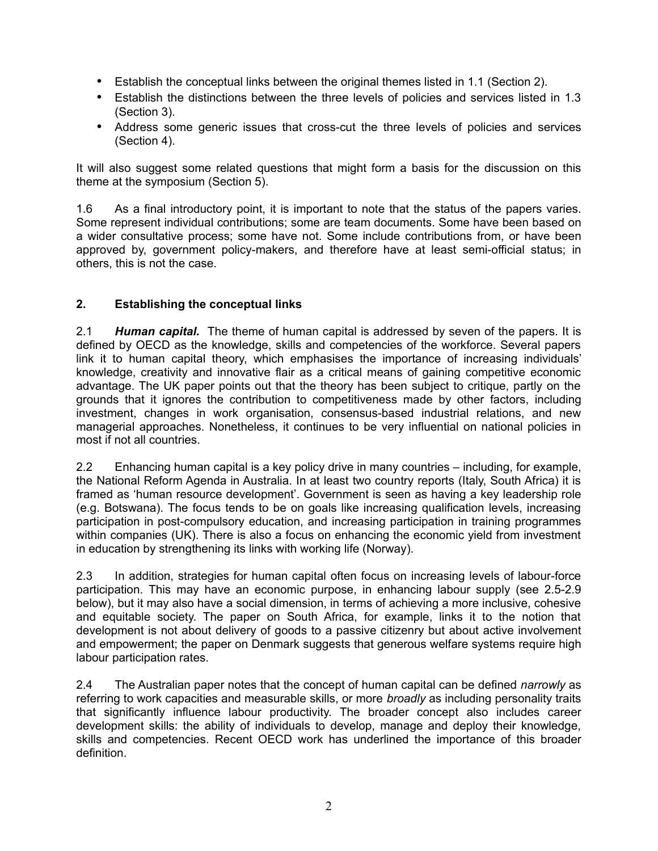- Establish the conceptual links between the original themes listed in 1.1 (Section 2).
- Establish the distinctions between the three levels of policies and services listed in 1.3 (Section 3).
- Address some generic issues that cross-cut the three levels of policies and services (Section 4).

It will also suggest some related questions that might form a basis for the discussion on this theme at the symposium (Section 5).

1.6 As a final introductory point, it is important to note that the status of the papers varies. Some represent individual contributions; some are team documents. Some have been based on a wider consultative process; some have not. Some include contributions from, or have been approved by, government policy-makers, and therefore have at least semi-official status; in others, this is not the case.

# **2. Establishing the conceptual links**

2.1 *Human capital.* The theme of human capital is addressed by seven of the papers. It is defined by OECD as the knowledge, skills and competencies of the workforce. Several papers link it to human capital theory, which emphasises the importance of increasing individuals' knowledge, creativity and innovative flair as a critical means of gaining competitive economic advantage. The UK paper points out that the theory has been subject to critique, partly on the grounds that it ignores the contribution to competitiveness made by other factors, including investment, changes in work organisation, consensus-based industrial relations, and new managerial approaches. Nonetheless, it continues to be very influential on national policies in most if not all countries.

2.2 Enhancing human capital is a key policy drive in many countries – including, for example, the National Reform Agenda in Australia. In at least two country reports (Italy, South Africa) it is framed as 'human resource development'. Government is seen as having a key leadership role (e.g. Botswana). The focus tends to be on goals like increasing qualification levels, increasing participation in post-compulsory education, and increasing participation in training programmes within companies (UK). There is also a focus on enhancing the economic yield from investment in education by strengthening its links with working life (Norway).

2.3 In addition, strategies for human capital often focus on increasing levels of labour-force participation. This may have an economic purpose, in enhancing labour supply (see 2.5-2.9 below), but it may also have a social dimension, in terms of achieving a more inclusive, cohesive and equitable society. The paper on South Africa, for example, links it to the notion that development is not about delivery of goods to a passive citizenry but about active involvement and empowerment; the paper on Denmark suggests that generous welfare systems require high labour participation rates.

2.4 The Australian paper notes that the concept of human capital can be defined *narrowly* as referring to work capacities and measurable skills, or more *broadly* as including personality traits that significantly influence labour productivity. The broader concept also includes career development skills: the ability of individuals to develop, manage and deploy their knowledge, skills and competencies. Recent OECD work has underlined the importance of this broader definition.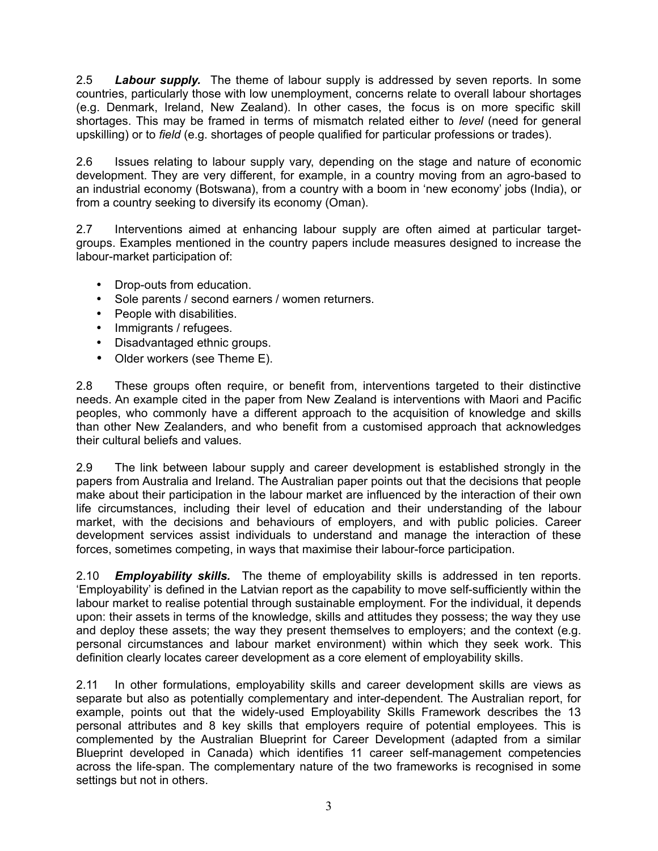2.5 *Labour supply.* The theme of labour supply is addressed by seven reports. In some countries, particularly those with low unemployment, concerns relate to overall labour shortages (e.g. Denmark, Ireland, New Zealand). In other cases, the focus is on more specific skill shortages. This may be framed in terms of mismatch related either to *level* (need for general upskilling) or to *field* (e.g. shortages of people qualified for particular professions or trades).

2.6 Issues relating to labour supply vary, depending on the stage and nature of economic development. They are very different, for example, in a country moving from an agro-based to an industrial economy (Botswana), from a country with a boom in 'new economy' jobs (India), or from a country seeking to diversify its economy (Oman).

2.7 Interventions aimed at enhancing labour supply are often aimed at particular targetgroups. Examples mentioned in the country papers include measures designed to increase the labour-market participation of:

- Drop-outs from education.
- Sole parents / second earners / women returners.
- People with disabilities.
- Immigrants / refugees.
- Disadvantaged ethnic groups.
- Older workers (see Theme E).

2.8 These groups often require, or benefit from, interventions targeted to their distinctive needs. An example cited in the paper from New Zealand is interventions with Maori and Pacific peoples, who commonly have a different approach to the acquisition of knowledge and skills than other New Zealanders, and who benefit from a customised approach that acknowledges their cultural beliefs and values.

2.9 The link between labour supply and career development is established strongly in the papers from Australia and Ireland. The Australian paper points out that the decisions that people make about their participation in the labour market are influenced by the interaction of their own life circumstances, including their level of education and their understanding of the labour market, with the decisions and behaviours of employers, and with public policies. Career development services assist individuals to understand and manage the interaction of these forces, sometimes competing, in ways that maximise their labour-force participation.

2.10 *Employability skills.* The theme of employability skills is addressed in ten reports. 'Employability' is defined in the Latvian report as the capability to move self-sufficiently within the labour market to realise potential through sustainable employment. For the individual, it depends upon: their assets in terms of the knowledge, skills and attitudes they possess; the way they use and deploy these assets; the way they present themselves to employers; and the context (e.g. personal circumstances and labour market environment) within which they seek work. This definition clearly locates career development as a core element of employability skills.

2.11 In other formulations, employability skills and career development skills are views as separate but also as potentially complementary and inter-dependent. The Australian report, for example, points out that the widely-used Employability Skills Framework describes the 13 personal attributes and 8 key skills that employers require of potential employees. This is complemented by the Australian Blueprint for Career Development (adapted from a similar Blueprint developed in Canada) which identifies 11 career self-management competencies across the life-span. The complementary nature of the two frameworks is recognised in some settings but not in others.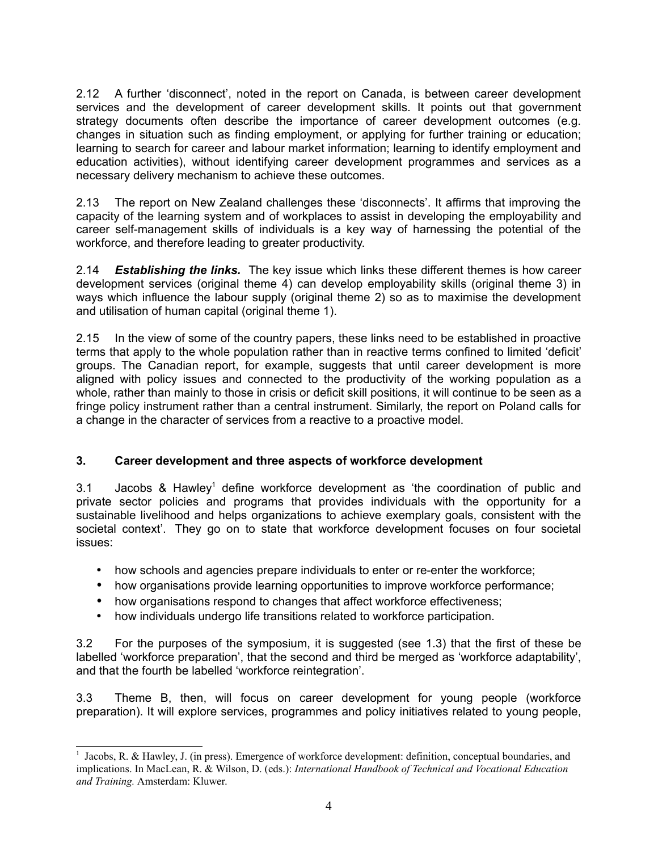2.12 A further 'disconnect', noted in the report on Canada, is between career development services and the development of career development skills. It points out that government strategy documents often describe the importance of career development outcomes (e.g. changes in situation such as finding employment, or applying for further training or education; learning to search for career and labour market information; learning to identify employment and education activities), without identifying career development programmes and services as a necessary delivery mechanism to achieve these outcomes.

2.13 The report on New Zealand challenges these 'disconnects'. It affirms that improving the capacity of the learning system and of workplaces to assist in developing the employability and career self-management skills of individuals is a key way of harnessing the potential of the workforce, and therefore leading to greater productivity.

2.14 *Establishing the links.* The key issue which links these different themes is how career development services (original theme 4) can develop employability skills (original theme 3) in ways which influence the labour supply (original theme 2) so as to maximise the development and utilisation of human capital (original theme 1).

2.15 In the view of some of the country papers, these links need to be established in proactive terms that apply to the whole population rather than in reactive terms confined to limited 'deficit' groups. The Canadian report, for example, suggests that until career development is more aligned with policy issues and connected to the productivity of the working population as a whole, rather than mainly to those in crisis or deficit skill positions, it will continue to be seen as a fringe policy instrument rather than a central instrument. Similarly, the report on Poland calls for a change in the character of services from a reactive to a proactive model.

### **3. Career development and three aspects of workforce development**

3.[1](#page-3-0) Jacobs & Hawley<sup>1</sup> define workforce development as 'the coordination of public and private sector policies and programs that provides individuals with the opportunity for a sustainable livelihood and helps organizations to achieve exemplary goals, consistent with the societal context'. They go on to state that workforce development focuses on four societal issues:

- how schools and agencies prepare individuals to enter or re-enter the workforce;
- how organisations provide learning opportunities to improve workforce performance;
- how organisations respond to changes that affect workforce effectiveness;
- how individuals undergo life transitions related to workforce participation.

3.2 For the purposes of the symposium, it is suggested (see 1.3) that the first of these be labelled 'workforce preparation', that the second and third be merged as 'workforce adaptability', and that the fourth be labelled 'workforce reintegration'.

3.3 Theme B, then, will focus on career development for young people (workforce preparation). It will explore services, programmes and policy initiatives related to young people,

<span id="page-3-0"></span><sup>&</sup>lt;sup>1</sup> Jacobs, R. & Hawley, J. (in press). Emergence of workforce development: definition, conceptual boundaries, and implications. In MacLean, R. & Wilson, D. (eds.): *International Handbook of Technical and Vocational Education and Training.* Amsterdam: Kluwer.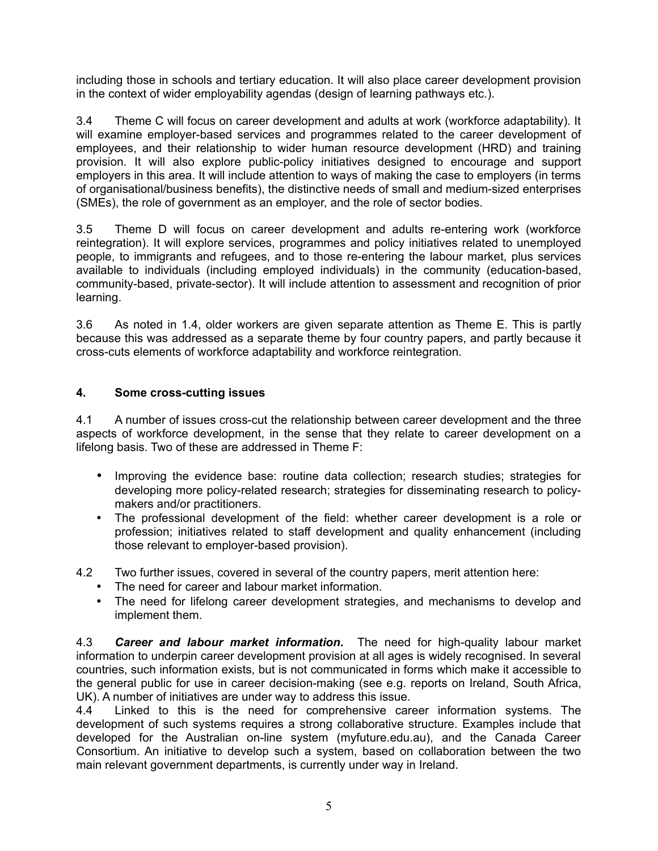including those in schools and tertiary education. It will also place career development provision in the context of wider employability agendas (design of learning pathways etc.).

3.4 Theme C will focus on career development and adults at work (workforce adaptability). It will examine employer-based services and programmes related to the career development of employees, and their relationship to wider human resource development (HRD) and training provision. It will also explore public-policy initiatives designed to encourage and support employers in this area. It will include attention to ways of making the case to employers (in terms of organisational/business benefits), the distinctive needs of small and medium-sized enterprises (SMEs), the role of government as an employer, and the role of sector bodies.

3.5 Theme D will focus on career development and adults re-entering work (workforce reintegration). It will explore services, programmes and policy initiatives related to unemployed people, to immigrants and refugees, and to those re-entering the labour market, plus services available to individuals (including employed individuals) in the community (education-based, community-based, private-sector). It will include attention to assessment and recognition of prior learning.

3.6 As noted in 1.4, older workers are given separate attention as Theme E. This is partly because this was addressed as a separate theme by four country papers, and partly because it cross-cuts elements of workforce adaptability and workforce reintegration.

### **4. Some cross-cutting issues**

4.1 A number of issues cross-cut the relationship between career development and the three aspects of workforce development, in the sense that they relate to career development on a lifelong basis. Two of these are addressed in Theme F:

- Improving the evidence base: routine data collection; research studies; strategies for developing more policy-related research; strategies for disseminating research to policymakers and/or practitioners.
- The professional development of the field: whether career development is a role or profession; initiatives related to staff development and quality enhancement (including those relevant to employer-based provision).
- 4.2 Two further issues, covered in several of the country papers, merit attention here:
	- The need for career and labour market information.
	- The need for lifelong career development strategies, and mechanisms to develop and implement them.

4.3 *Career and labour market information.* The need for high-quality labour market information to underpin career development provision at all ages is widely recognised. In several countries, such information exists, but is not communicated in forms which make it accessible to the general public for use in career decision-making (see e.g. reports on Ireland, South Africa, UK). A number of initiatives are under way to address this issue.

4.4 Linked to this is the need for comprehensive career information systems. The development of such systems requires a strong collaborative structure. Examples include that developed for the Australian on-line system (myfuture.edu.au), and the Canada Career Consortium. An initiative to develop such a system, based on collaboration between the two main relevant government departments, is currently under way in Ireland.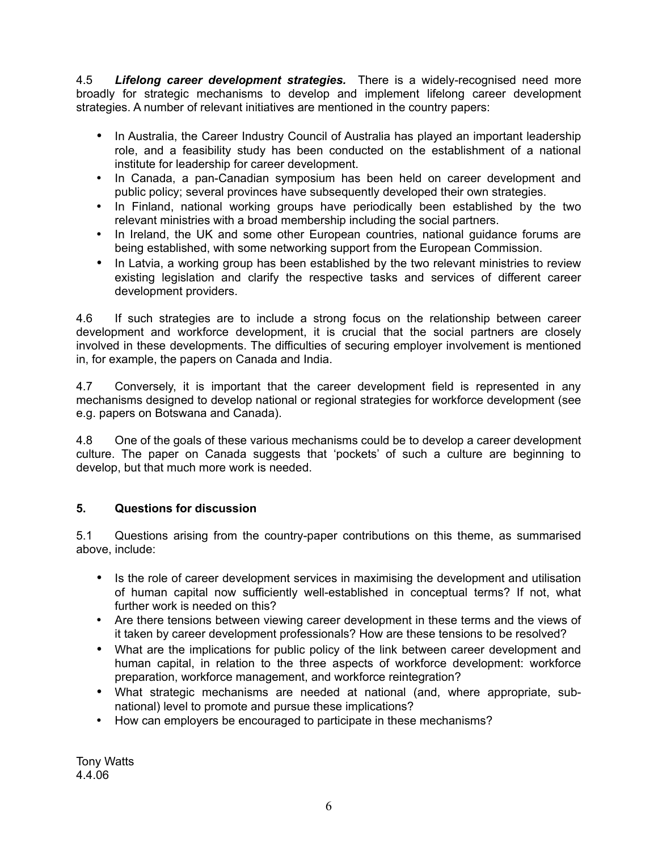4.5 *Lifelong career development strategies.* There is a widely-recognised need more broadly for strategic mechanisms to develop and implement lifelong career development strategies. A number of relevant initiatives are mentioned in the country papers:

- In Australia, the Career Industry Council of Australia has played an important leadership role, and a feasibility study has been conducted on the establishment of a national institute for leadership for career development.
- In Canada, a pan-Canadian symposium has been held on career development and public policy; several provinces have subsequently developed their own strategies.
- In Finland, national working groups have periodically been established by the two relevant ministries with a broad membership including the social partners.
- In Ireland, the UK and some other European countries, national guidance forums are being established, with some networking support from the European Commission.
- In Latvia, a working group has been established by the two relevant ministries to review existing legislation and clarify the respective tasks and services of different career development providers.

4.6 If such strategies are to include a strong focus on the relationship between career development and workforce development, it is crucial that the social partners are closely involved in these developments. The difficulties of securing employer involvement is mentioned in, for example, the papers on Canada and India.

4.7 Conversely, it is important that the career development field is represented in any mechanisms designed to develop national or regional strategies for workforce development (see e.g. papers on Botswana and Canada).

4.8 One of the goals of these various mechanisms could be to develop a career development culture. The paper on Canada suggests that 'pockets' of such a culture are beginning to develop, but that much more work is needed.

# **5. Questions for discussion**

5.1 Questions arising from the country-paper contributions on this theme, as summarised above, include:

- Is the role of career development services in maximising the development and utilisation of human capital now sufficiently well-established in conceptual terms? If not, what further work is needed on this?
- Are there tensions between viewing career development in these terms and the views of it taken by career development professionals? How are these tensions to be resolved?
- What are the implications for public policy of the link between career development and human capital, in relation to the three aspects of workforce development: workforce preparation, workforce management, and workforce reintegration?
- What strategic mechanisms are needed at national (and, where appropriate, subnational) level to promote and pursue these implications?
- How can employers be encouraged to participate in these mechanisms?

Tony Watts 4.4.06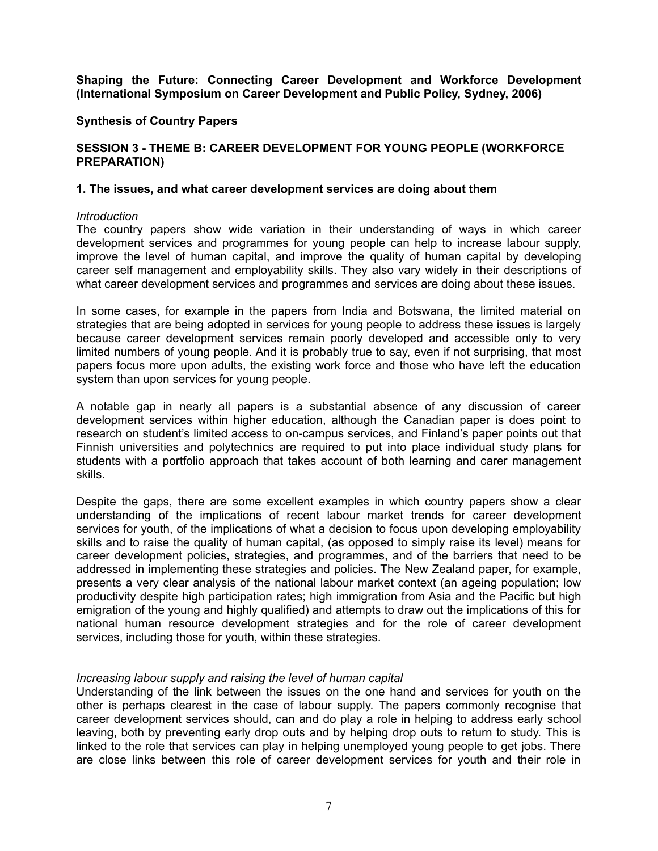**Synthesis of Country Papers**

#### **SESSION 3 - THEME B: CAREER DEVELOPMENT FOR YOUNG PEOPLE (WORKFORCE PREPARATION)**

#### **1. The issues, and what career development services are doing about them**

#### *Introduction*

The country papers show wide variation in their understanding of ways in which career development services and programmes for young people can help to increase labour supply, improve the level of human capital, and improve the quality of human capital by developing career self management and employability skills. They also vary widely in their descriptions of what career development services and programmes and services are doing about these issues.

In some cases, for example in the papers from India and Botswana, the limited material on strategies that are being adopted in services for young people to address these issues is largely because career development services remain poorly developed and accessible only to very limited numbers of young people. And it is probably true to say, even if not surprising, that most papers focus more upon adults, the existing work force and those who have left the education system than upon services for young people.

A notable gap in nearly all papers is a substantial absence of any discussion of career development services within higher education, although the Canadian paper is does point to research on student's limited access to on-campus services, and Finland's paper points out that Finnish universities and polytechnics are required to put into place individual study plans for students with a portfolio approach that takes account of both learning and carer management skills.

Despite the gaps, there are some excellent examples in which country papers show a clear understanding of the implications of recent labour market trends for career development services for youth, of the implications of what a decision to focus upon developing employability skills and to raise the quality of human capital, (as opposed to simply raise its level) means for career development policies, strategies, and programmes, and of the barriers that need to be addressed in implementing these strategies and policies. The New Zealand paper, for example, presents a very clear analysis of the national labour market context (an ageing population; low productivity despite high participation rates; high immigration from Asia and the Pacific but high emigration of the young and highly qualified) and attempts to draw out the implications of this for national human resource development strategies and for the role of career development services, including those for youth, within these strategies.

### *Increasing labour supply and raising the level of human capital*

Understanding of the link between the issues on the one hand and services for youth on the other is perhaps clearest in the case of labour supply. The papers commonly recognise that career development services should, can and do play a role in helping to address early school leaving, both by preventing early drop outs and by helping drop outs to return to study. This is linked to the role that services can play in helping unemployed young people to get jobs. There are close links between this role of career development services for youth and their role in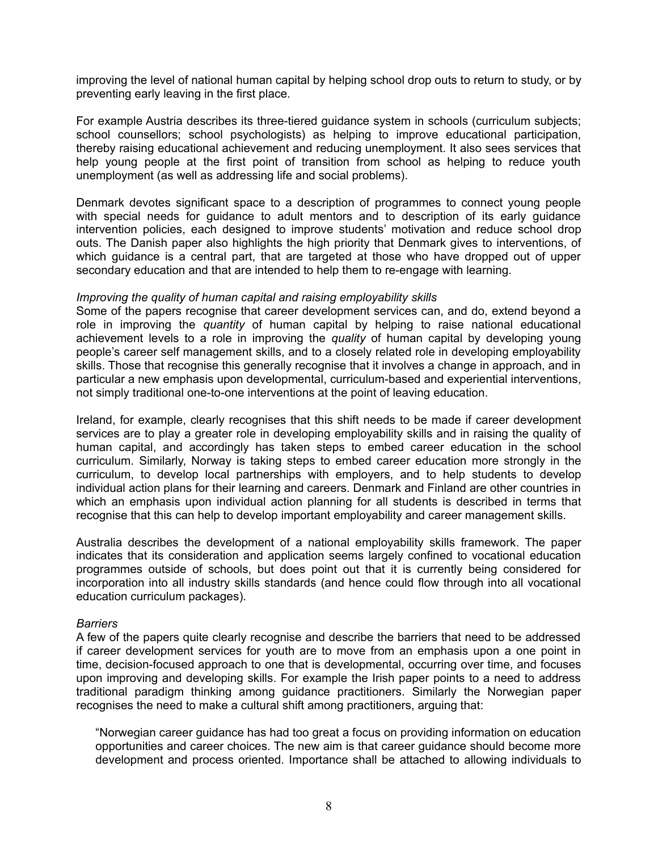improving the level of national human capital by helping school drop outs to return to study, or by preventing early leaving in the first place.

For example Austria describes its three-tiered guidance system in schools (curriculum subjects; school counsellors; school psychologists) as helping to improve educational participation, thereby raising educational achievement and reducing unemployment. It also sees services that help young people at the first point of transition from school as helping to reduce youth unemployment (as well as addressing life and social problems).

Denmark devotes significant space to a description of programmes to connect young people with special needs for guidance to adult mentors and to description of its early guidance intervention policies, each designed to improve students' motivation and reduce school drop outs. The Danish paper also highlights the high priority that Denmark gives to interventions, of which guidance is a central part, that are targeted at those who have dropped out of upper secondary education and that are intended to help them to re-engage with learning.

#### *Improving the quality of human capital and raising employability skills*

Some of the papers recognise that career development services can, and do, extend beyond a role in improving the *quantity* of human capital by helping to raise national educational achievement levels to a role in improving the *quality* of human capital by developing young people's career self management skills, and to a closely related role in developing employability skills. Those that recognise this generally recognise that it involves a change in approach, and in particular a new emphasis upon developmental, curriculum-based and experiential interventions, not simply traditional one-to-one interventions at the point of leaving education.

Ireland, for example, clearly recognises that this shift needs to be made if career development services are to play a greater role in developing employability skills and in raising the quality of human capital, and accordingly has taken steps to embed career education in the school curriculum. Similarly, Norway is taking steps to embed career education more strongly in the curriculum, to develop local partnerships with employers, and to help students to develop individual action plans for their learning and careers. Denmark and Finland are other countries in which an emphasis upon individual action planning for all students is described in terms that recognise that this can help to develop important employability and career management skills.

Australia describes the development of a national employability skills framework. The paper indicates that its consideration and application seems largely confined to vocational education programmes outside of schools, but does point out that it is currently being considered for incorporation into all industry skills standards (and hence could flow through into all vocational education curriculum packages).

#### *Barriers*

A few of the papers quite clearly recognise and describe the barriers that need to be addressed if career development services for youth are to move from an emphasis upon a one point in time, decision-focused approach to one that is developmental, occurring over time, and focuses upon improving and developing skills. For example the Irish paper points to a need to address traditional paradigm thinking among guidance practitioners. Similarly the Norwegian paper recognises the need to make a cultural shift among practitioners, arguing that:

"Norwegian career guidance has had too great a focus on providing information on education opportunities and career choices. The new aim is that career guidance should become more development and process oriented. Importance shall be attached to allowing individuals to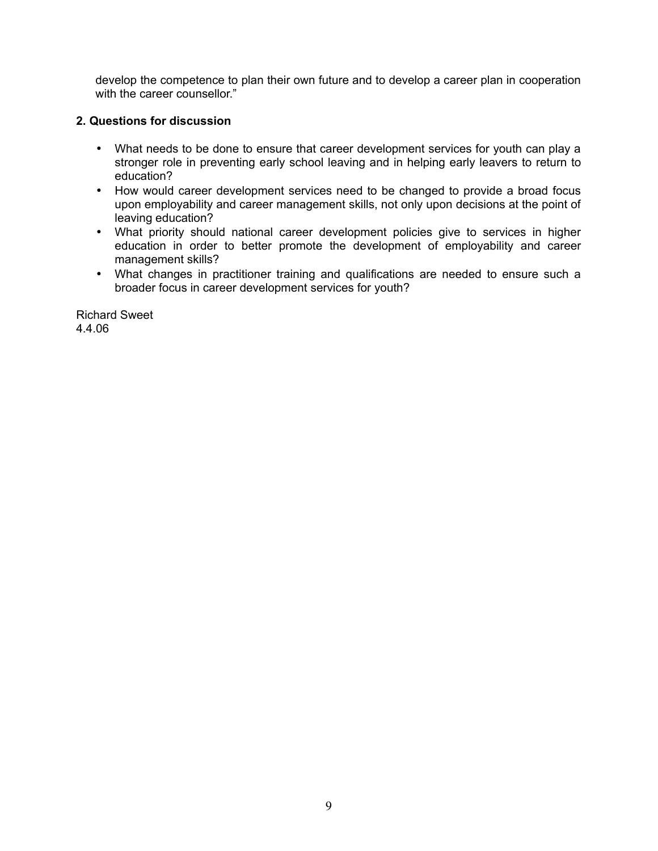develop the competence to plan their own future and to develop a career plan in cooperation with the career counsellor."

## **2. Questions for discussion**

- What needs to be done to ensure that career development services for youth can play a stronger role in preventing early school leaving and in helping early leavers to return to education?
- How would career development services need to be changed to provide a broad focus upon employability and career management skills, not only upon decisions at the point of leaving education?
- What priority should national career development policies give to services in higher education in order to better promote the development of employability and career management skills?
- What changes in practitioner training and qualifications are needed to ensure such a broader focus in career development services for youth?

Richard Sweet 4.4.06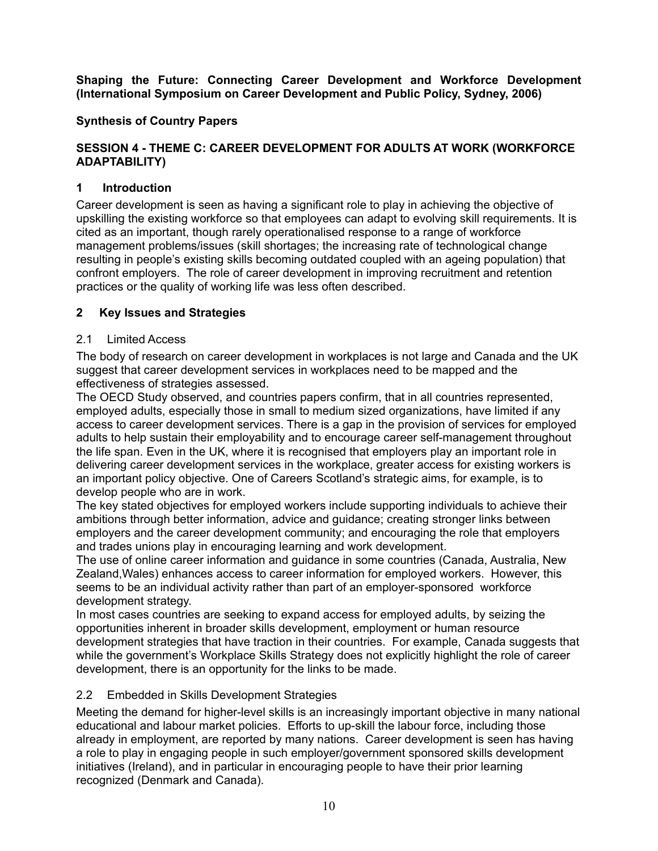# **Synthesis of Country Papers**

## **SESSION 4 - THEME C: CAREER DEVELOPMENT FOR ADULTS AT WORK (WORKFORCE ADAPTABILITY)**

## **1 Introduction**

Career development is seen as having a significant role to play in achieving the objective of upskilling the existing workforce so that employees can adapt to evolving skill requirements. It is cited as an important, though rarely operationalised response to a range of workforce management problems/issues (skill shortages; the increasing rate of technological change resulting in people's existing skills becoming outdated coupled with an ageing population) that confront employers. The role of career development in improving recruitment and retention practices or the quality of working life was less often described.

## **2 Key Issues and Strategies**

### 2.1 Limited Access

The body of research on career development in workplaces is not large and Canada and the UK suggest that career development services in workplaces need to be mapped and the effectiveness of strategies assessed.

The OECD Study observed, and countries papers confirm, that in all countries represented, employed adults, especially those in small to medium sized organizations, have limited if any access to career development services. There is a gap in the provision of services for employed adults to help sustain their employability and to encourage career self-management throughout the life span. Even in the UK, where it is recognised that employers play an important role in delivering career development services in the workplace, greater access for existing workers is an important policy objective. One of Careers Scotland's strategic aims, for example, is to develop people who are in work.

The key stated objectives for employed workers include supporting individuals to achieve their ambitions through better information, advice and guidance; creating stronger links between employers and the career development community; and encouraging the role that employers and trades unions play in encouraging learning and work development.

The use of online career information and guidance in some countries (Canada, Australia, New Zealand,Wales) enhances access to career information for employed workers. However, this seems to be an individual activity rather than part of an employer-sponsored workforce development strategy.

In most cases countries are seeking to expand access for employed adults, by seizing the opportunities inherent in broader skills development, employment or human resource development strategies that have traction in their countries. For example, Canada suggests that while the government's Workplace Skills Strategy does not explicitly highlight the role of career development, there is an opportunity for the links to be made.

### 2.2 Embedded in Skills Development Strategies

Meeting the demand for higher-level skills is an increasingly important objective in many national educational and labour market policies. Efforts to up-skill the labour force, including those already in employment, are reported by many nations. Career development is seen has having a role to play in engaging people in such employer/government sponsored skills development initiatives (Ireland), and in particular in encouraging people to have their prior learning recognized (Denmark and Canada).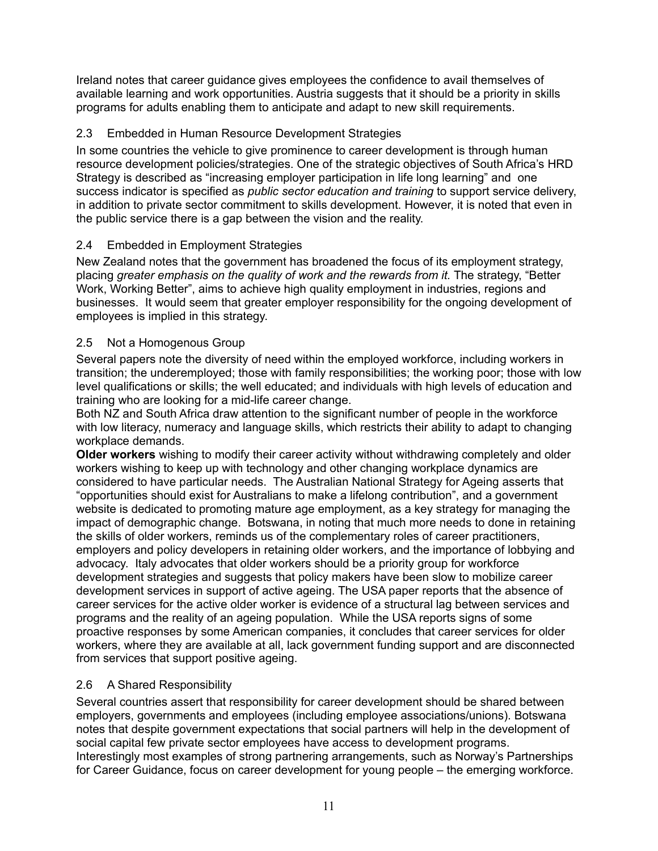Ireland notes that career guidance gives employees the confidence to avail themselves of available learning and work opportunities. Austria suggests that it should be a priority in skills programs for adults enabling them to anticipate and adapt to new skill requirements.

# 2.3 Embedded in Human Resource Development Strategies

In some countries the vehicle to give prominence to career development is through human resource development policies/strategies. One of the strategic objectives of South Africa's HRD Strategy is described as "increasing employer participation in life long learning" and one success indicator is specified as *public sector education and training* to support service delivery, in addition to private sector commitment to skills development. However, it is noted that even in the public service there is a gap between the vision and the reality.

# 2.4 Embedded in Employment Strategies

New Zealand notes that the government has broadened the focus of its employment strategy, placing *greater emphasis on the quality of work and the rewards from it.* The strategy, "Better Work, Working Better", aims to achieve high quality employment in industries, regions and businesses. It would seem that greater employer responsibility for the ongoing development of employees is implied in this strategy.

## 2.5 Not a Homogenous Group

Several papers note the diversity of need within the employed workforce, including workers in transition; the underemployed; those with family responsibilities; the working poor; those with low level qualifications or skills; the well educated; and individuals with high levels of education and training who are looking for a mid-life career change.

Both NZ and South Africa draw attention to the significant number of people in the workforce with low literacy, numeracy and language skills, which restricts their ability to adapt to changing workplace demands.

**Older workers** wishing to modify their career activity without withdrawing completely and older workers wishing to keep up with technology and other changing workplace dynamics are considered to have particular needs. The Australian National Strategy for Ageing asserts that "opportunities should exist for Australians to make a lifelong contribution", and a government website is dedicated to promoting mature age employment, as a key strategy for managing the impact of demographic change. Botswana, in noting that much more needs to done in retaining the skills of older workers, reminds us of the complementary roles of career practitioners, employers and policy developers in retaining older workers, and the importance of lobbying and advocacy. Italy advocates that older workers should be a priority group for workforce development strategies and suggests that policy makers have been slow to mobilize career development services in support of active ageing. The USA paper reports that the absence of career services for the active older worker is evidence of a structural lag between services and programs and the reality of an ageing population. While the USA reports signs of some proactive responses by some American companies, it concludes that career services for older workers, where they are available at all, lack government funding support and are disconnected from services that support positive ageing.

# 2.6 A Shared Responsibility

Several countries assert that responsibility for career development should be shared between employers, governments and employees (including employee associations/unions). Botswana notes that despite government expectations that social partners will help in the development of social capital few private sector employees have access to development programs. Interestingly most examples of strong partnering arrangements, such as Norway's Partnerships for Career Guidance, focus on career development for young people – the emerging workforce.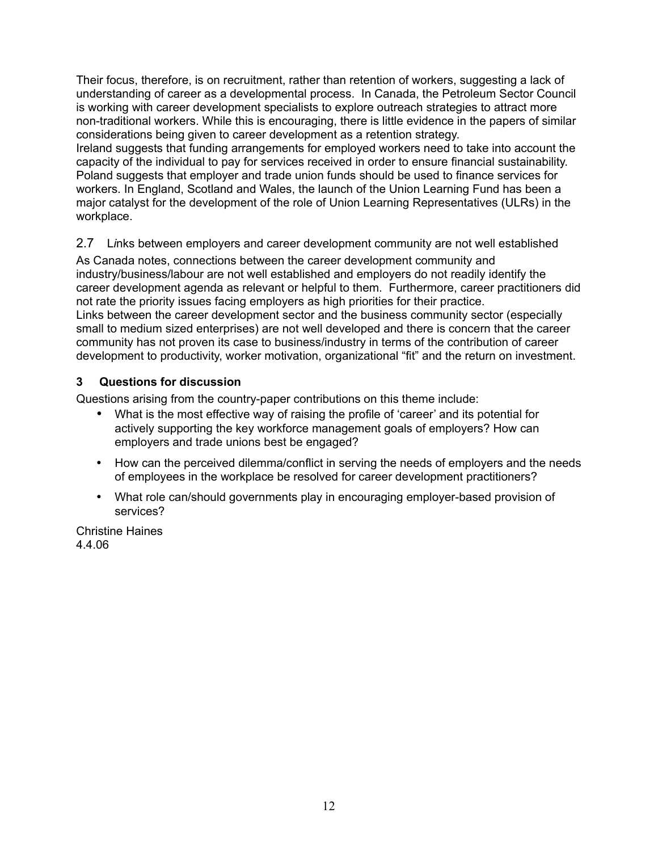Their focus, therefore, is on recruitment, rather than retention of workers, suggesting a lack of understanding of career as a developmental process. In Canada, the Petroleum Sector Council is working with career development specialists to explore outreach strategies to attract more non-traditional workers. While this is encouraging, there is little evidence in the papers of similar considerations being given to career development as a retention strategy.

Ireland suggests that funding arrangements for employed workers need to take into account the capacity of the individual to pay for services received in order to ensure financial sustainability. Poland suggests that employer and trade union funds should be used to finance services for workers. In England, Scotland and Wales, the launch of the Union Learning Fund has been a major catalyst for the development of the role of Union Learning Representatives (ULRs) in the workplace.

# 2.7 L*i*nks between employers and career development community are not well established

As Canada notes, connections between the career development community and industry/business/labour are not well established and employers do not readily identify the career development agenda as relevant or helpful to them. Furthermore, career practitioners did not rate the priority issues facing employers as high priorities for their practice. Links between the career development sector and the business community sector (especially small to medium sized enterprises) are not well developed and there is concern that the career community has not proven its case to business/industry in terms of the contribution of career development to productivity, worker motivation, organizational "fit" and the return on investment.

# **3 Questions for discussion**

Questions arising from the country-paper contributions on this theme include:

- What is the most effective way of raising the profile of 'career' and its potential for actively supporting the key workforce management goals of employers? How can employers and trade unions best be engaged?
- How can the perceived dilemma/conflict in serving the needs of employers and the needs of employees in the workplace be resolved for career development practitioners?
- What role can/should governments play in encouraging employer-based provision of services?

Christine Haines 4.4.06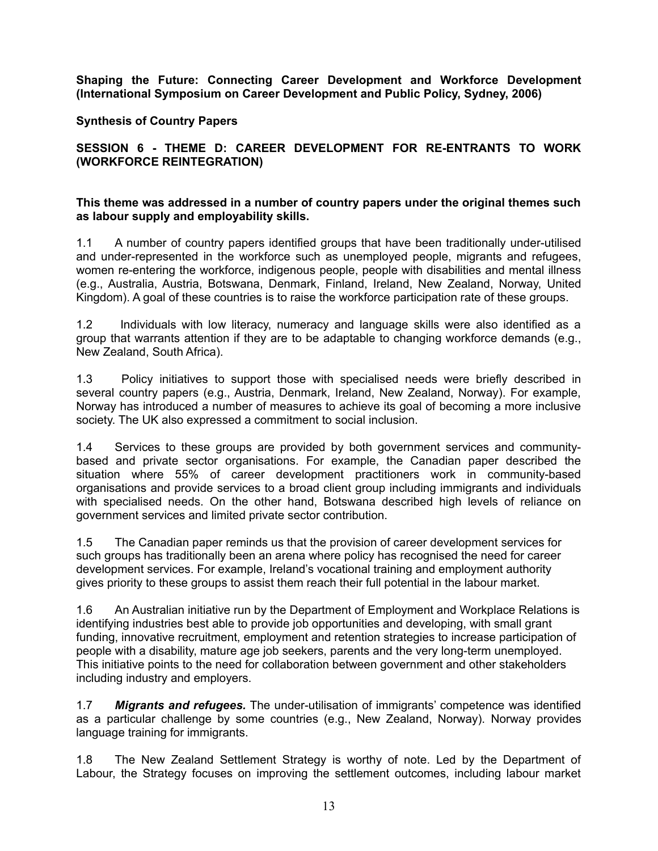### **Synthesis of Country Papers**

## **SESSION 6 - THEME D: CAREER DEVELOPMENT FOR RE-ENTRANTS TO WORK (WORKFORCE REINTEGRATION)**

#### **This theme was addressed in a number of country papers under the original themes such as labour supply and employability skills.**

1.1 A number of country papers identified groups that have been traditionally under-utilised and under-represented in the workforce such as unemployed people, migrants and refugees, women re-entering the workforce, indigenous people, people with disabilities and mental illness (e.g., Australia, Austria, Botswana, Denmark, Finland, Ireland, New Zealand, Norway, United Kingdom). A goal of these countries is to raise the workforce participation rate of these groups.

1.2 Individuals with low literacy, numeracy and language skills were also identified as a group that warrants attention if they are to be adaptable to changing workforce demands (e.g., New Zealand, South Africa).

1.3 Policy initiatives to support those with specialised needs were briefly described in several country papers (e.g., Austria, Denmark, Ireland, New Zealand, Norway). For example, Norway has introduced a number of measures to achieve its goal of becoming a more inclusive society. The UK also expressed a commitment to social inclusion.

1.4 Services to these groups are provided by both government services and communitybased and private sector organisations. For example, the Canadian paper described the situation where 55% of career development practitioners work in community-based organisations and provide services to a broad client group including immigrants and individuals with specialised needs. On the other hand, Botswana described high levels of reliance on government services and limited private sector contribution.

1.5 The Canadian paper reminds us that the provision of career development services for such groups has traditionally been an arena where policy has recognised the need for career development services. For example, Ireland's vocational training and employment authority gives priority to these groups to assist them reach their full potential in the labour market.

1.6 An Australian initiative run by the Department of Employment and Workplace Relations is identifying industries best able to provide job opportunities and developing, with small grant funding, innovative recruitment, employment and retention strategies to increase participation of people with a disability, mature age job seekers, parents and the very long-term unemployed. This initiative points to the need for collaboration between government and other stakeholders including industry and employers.

1.7 *Migrants and refugees.* The under-utilisation of immigrants' competence was identified as a particular challenge by some countries (e.g., New Zealand, Norway). Norway provides language training for immigrants.

1.8 The New Zealand Settlement Strategy is worthy of note. Led by the Department of Labour, the Strategy focuses on improving the settlement outcomes, including labour market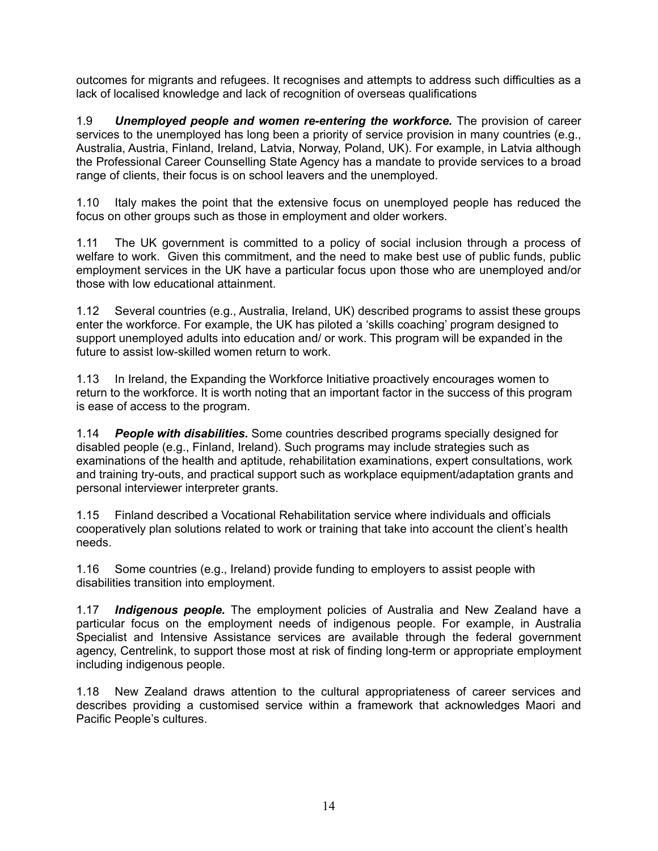outcomes for migrants and refugees. It recognises and attempts to address such difficulties as a lack of localised knowledge and lack of recognition of overseas qualifications

1.9 *Unemployed people and women re-entering the workforce.* The provision of career services to the unemployed has long been a priority of service provision in many countries (e.g., Australia, Austria, Finland, Ireland, Latvia, Norway, Poland, UK). For example, in Latvia although the Professional Career Counselling State Agency has a mandate to provide services to a broad range of clients, their focus is on school leavers and the unemployed.

1.10 Italy makes the point that the extensive focus on unemployed people has reduced the focus on other groups such as those in employment and older workers.

1.11 The UK government is committed to a policy of social inclusion through a process of welfare to work. Given this commitment, and the need to make best use of public funds, public employment services in the UK have a particular focus upon those who are unemployed and/or those with low educational attainment.

1.12 Several countries (e.g., Australia, Ireland, UK) described programs to assist these groups enter the workforce. For example, the UK has piloted a 'skills coaching' program designed to support unemployed adults into education and/ or work. This program will be expanded in the future to assist low-skilled women return to work.

1.13 In Ireland, the Expanding the Workforce Initiative proactively encourages women to return to the workforce. It is worth noting that an important factor in the success of this program is ease of access to the program.

1.14 *People with disabilities.* Some countries described programs specially designed for disabled people (e.g., Finland, Ireland). Such programs may include strategies such as examinations of the health and aptitude, rehabilitation examinations, expert consultations, work and training try-outs, and practical support such as workplace equipment/adaptation grants and personal interviewer interpreter grants.

1.15 Finland described a Vocational Rehabilitation service where individuals and officials cooperatively plan solutions related to work or training that take into account the client's health needs.

1.16 Some countries (e.g., Ireland) provide funding to employers to assist people with disabilities transition into employment.

1.17 *Indigenous people.* The employment policies of Australia and New Zealand have a particular focus on the employment needs of indigenous people. For example, in Australia Specialist and Intensive Assistance services are available through the federal government agency, Centrelink, to support those most at risk of finding long-term or appropriate employment including indigenous people.

1.18 New Zealand draws attention to the cultural appropriateness of career services and describes providing a customised service within a framework that acknowledges Maori and Pacific People's cultures.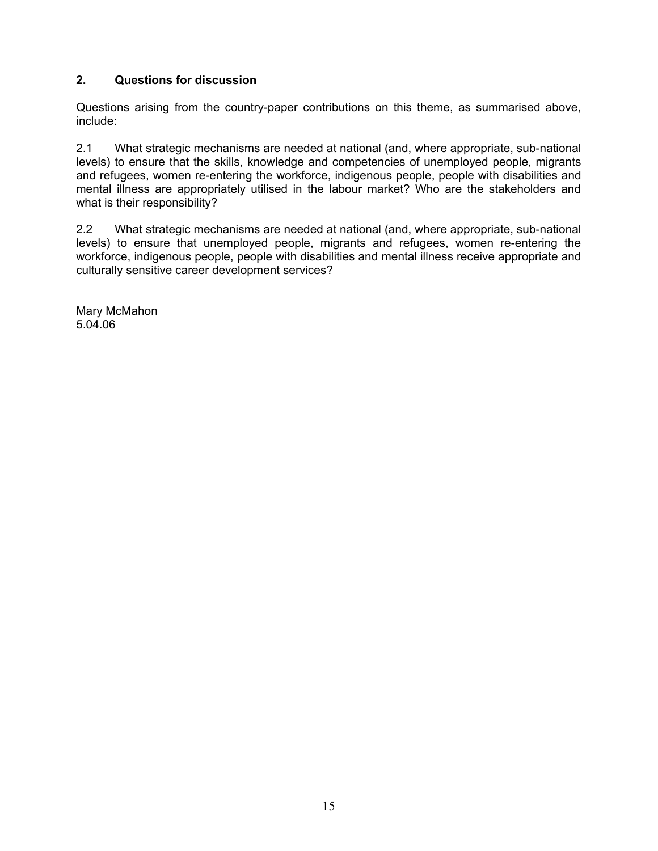# **2. Questions for discussion**

Questions arising from the country-paper contributions on this theme, as summarised above, include:

2.1 What strategic mechanisms are needed at national (and, where appropriate, sub-national levels) to ensure that the skills, knowledge and competencies of unemployed people, migrants and refugees, women re-entering the workforce, indigenous people, people with disabilities and mental illness are appropriately utilised in the labour market? Who are the stakeholders and what is their responsibility?

2.2 What strategic mechanisms are needed at national (and, where appropriate, sub-national levels) to ensure that unemployed people, migrants and refugees, women re-entering the workforce, indigenous people, people with disabilities and mental illness receive appropriate and culturally sensitive career development services?

Mary McMahon 5.04.06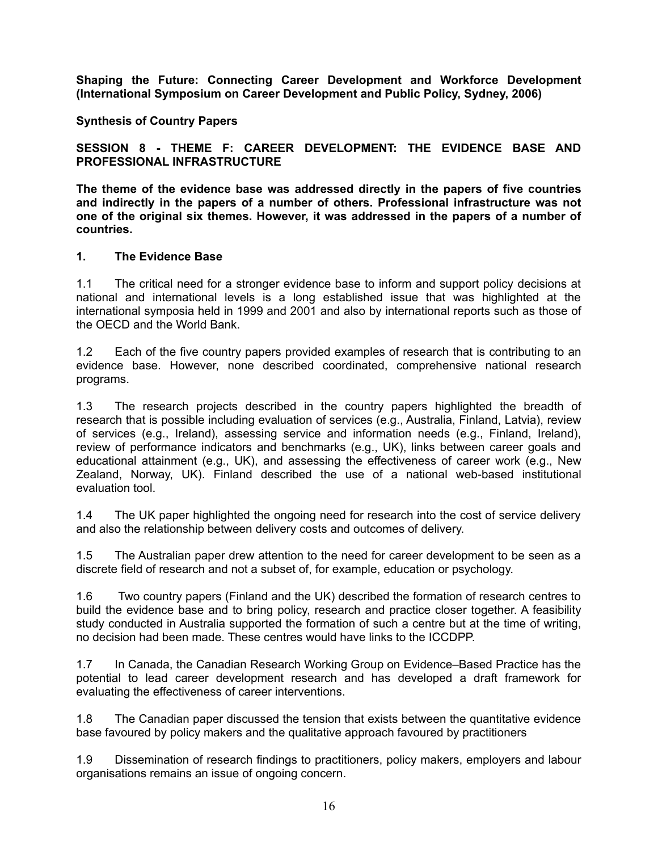**Synthesis of Country Papers**

**SESSION 8 - THEME F: CAREER DEVELOPMENT: THE EVIDENCE BASE AND PROFESSIONAL INFRASTRUCTURE**

**The theme of the evidence base was addressed directly in the papers of five countries and indirectly in the papers of a number of others. Professional infrastructure was not one of the original six themes. However, it was addressed in the papers of a number of countries.**

#### **1. The Evidence Base**

1.1 The critical need for a stronger evidence base to inform and support policy decisions at national and international levels is a long established issue that was highlighted at the international symposia held in 1999 and 2001 and also by international reports such as those of the OECD and the World Bank.

1.2 Each of the five country papers provided examples of research that is contributing to an evidence base. However, none described coordinated, comprehensive national research programs.

1.3 The research projects described in the country papers highlighted the breadth of research that is possible including evaluation of services (e.g., Australia, Finland, Latvia), review of services (e.g., Ireland), assessing service and information needs (e.g., Finland, Ireland), review of performance indicators and benchmarks (e.g., UK), links between career goals and educational attainment (e.g., UK), and assessing the effectiveness of career work (e.g., New Zealand, Norway, UK). Finland described the use of a national web-based institutional evaluation tool.

1.4 The UK paper highlighted the ongoing need for research into the cost of service delivery and also the relationship between delivery costs and outcomes of delivery.

1.5 The Australian paper drew attention to the need for career development to be seen as a discrete field of research and not a subset of, for example, education or psychology.

1.6 Two country papers (Finland and the UK) described the formation of research centres to build the evidence base and to bring policy, research and practice closer together. A feasibility study conducted in Australia supported the formation of such a centre but at the time of writing, no decision had been made. These centres would have links to the ICCDPP.

1.7 In Canada, the Canadian Research Working Group on Evidence–Based Practice has the potential to lead career development research and has developed a draft framework for evaluating the effectiveness of career interventions.

1.8 The Canadian paper discussed the tension that exists between the quantitative evidence base favoured by policy makers and the qualitative approach favoured by practitioners

1.9 Dissemination of research findings to practitioners, policy makers, employers and labour organisations remains an issue of ongoing concern.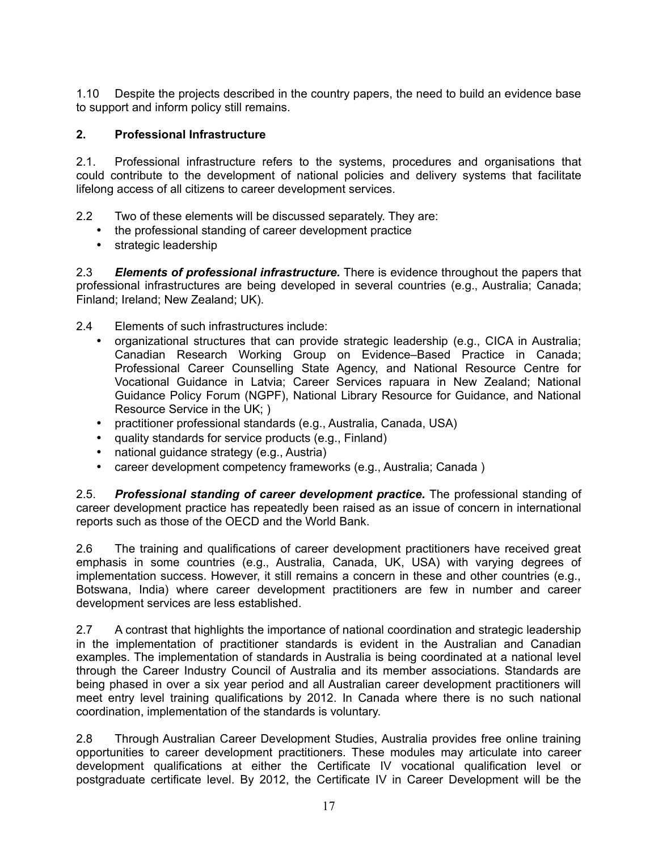1.10 Despite the projects described in the country papers, the need to build an evidence base to support and inform policy still remains.

# **2. Professional Infrastructure**

2.1. Professional infrastructure refers to the systems, procedures and organisations that could contribute to the development of national policies and delivery systems that facilitate lifelong access of all citizens to career development services.

- 2.2 Two of these elements will be discussed separately. They are:
	- the professional standing of career development practice
	- strategic leadership

2.3 *Elements of professional infrastructure.* There is evidence throughout the papers that professional infrastructures are being developed in several countries (e.g., Australia; Canada; Finland; Ireland; New Zealand; UK).

- 2.4 Elements of such infrastructures include:
	- organizational structures that can provide strategic leadership (e.g., CICA in Australia; Canadian Research Working Group on Evidence–Based Practice in Canada; Professional Career Counselling State Agency, and National Resource Centre for Vocational Guidance in Latvia; Career Services rapuara in New Zealand; National Guidance Policy Forum (NGPF), National Library Resource for Guidance, and National Resource Service in the UK; )
	- practitioner professional standards (e.g., Australia, Canada, USA)
	- quality standards for service products (e.g., Finland)
	- national guidance strategy (e.g., Austria)
	- career development competency frameworks (e.g., Australia; Canada )

2.5. *Professional standing of career development practice.* The professional standing of career development practice has repeatedly been raised as an issue of concern in international reports such as those of the OECD and the World Bank.

2.6 The training and qualifications of career development practitioners have received great emphasis in some countries (e.g., Australia, Canada, UK, USA) with varying degrees of implementation success. However, it still remains a concern in these and other countries (e.g., Botswana, India) where career development practitioners are few in number and career development services are less established.

2.7 A contrast that highlights the importance of national coordination and strategic leadership in the implementation of practitioner standards is evident in the Australian and Canadian examples. The implementation of standards in Australia is being coordinated at a national level through the Career Industry Council of Australia and its member associations. Standards are being phased in over a six year period and all Australian career development practitioners will meet entry level training qualifications by 2012. In Canada where there is no such national coordination, implementation of the standards is voluntary.

2.8 Through Australian Career Development Studies, Australia provides free online training opportunities to career development practitioners. These modules may articulate into career development qualifications at either the Certificate IV vocational qualification level or postgraduate certificate level. By 2012, the Certificate IV in Career Development will be the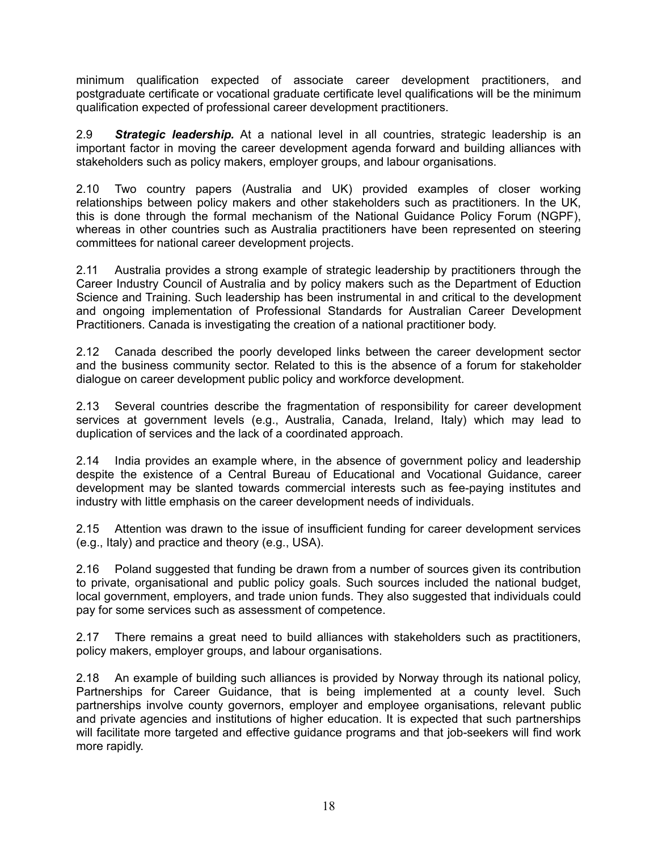minimum qualification expected of associate career development practitioners, and postgraduate certificate or vocational graduate certificate level qualifications will be the minimum qualification expected of professional career development practitioners.

2.9 *Strategic leadership.* At a national level in all countries, strategic leadership is an important factor in moving the career development agenda forward and building alliances with stakeholders such as policy makers, employer groups, and labour organisations.

2.10 Two country papers (Australia and UK) provided examples of closer working relationships between policy makers and other stakeholders such as practitioners. In the UK, this is done through the formal mechanism of the National Guidance Policy Forum (NGPF), whereas in other countries such as Australia practitioners have been represented on steering committees for national career development projects.

2.11 Australia provides a strong example of strategic leadership by practitioners through the Career Industry Council of Australia and by policy makers such as the Department of Eduction Science and Training. Such leadership has been instrumental in and critical to the development and ongoing implementation of Professional Standards for Australian Career Development Practitioners. Canada is investigating the creation of a national practitioner body.

2.12 Canada described the poorly developed links between the career development sector and the business community sector. Related to this is the absence of a forum for stakeholder dialogue on career development public policy and workforce development.

2.13 Several countries describe the fragmentation of responsibility for career development services at government levels (e.g., Australia, Canada, Ireland, Italy) which may lead to duplication of services and the lack of a coordinated approach.

2.14 India provides an example where, in the absence of government policy and leadership despite the existence of a Central Bureau of Educational and Vocational Guidance, career development may be slanted towards commercial interests such as fee-paying institutes and industry with little emphasis on the career development needs of individuals.

2.15 Attention was drawn to the issue of insufficient funding for career development services (e.g., Italy) and practice and theory (e.g., USA).

2.16 Poland suggested that funding be drawn from a number of sources given its contribution to private, organisational and public policy goals. Such sources included the national budget, local government, employers, and trade union funds. They also suggested that individuals could pay for some services such as assessment of competence.

2.17 There remains a great need to build alliances with stakeholders such as practitioners, policy makers, employer groups, and labour organisations.

2.18 An example of building such alliances is provided by Norway through its national policy, Partnerships for Career Guidance, that is being implemented at a county level. Such partnerships involve county governors, employer and employee organisations, relevant public and private agencies and institutions of higher education. It is expected that such partnerships will facilitate more targeted and effective guidance programs and that job-seekers will find work more rapidly.